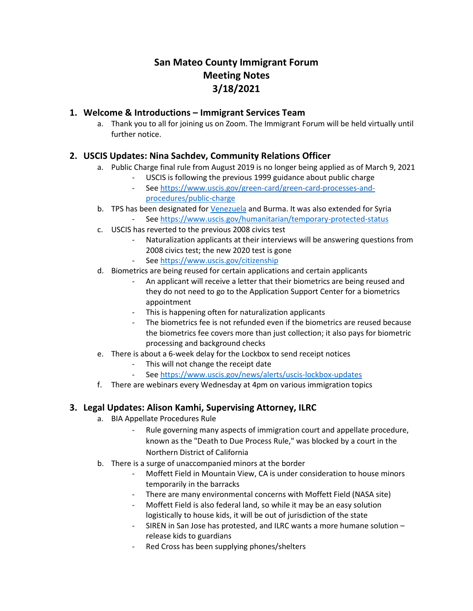# **San Mateo County Immigrant Forum Meeting Notes 3/18/2021**

### **1. Welcome & Introductions – Immigrant Services Team**

a. Thank you to all for joining us on Zoom. The Immigrant Forum will be held virtually until further notice.

# **2. USCIS Updates: Nina Sachdev, Community Relations Officer**

- a. Public Charge final rule from August 2019 is no longer being applied as of March 9, 2021
	- USCIS is following the previous 1999 guidance about public charge
	- Se[e https://www.uscis.gov/green-card/green-card-processes-and](https://protect-us.mimecast.com/s/yKW7CKr7LXhxKvWGiM1cM4)[procedures/public-charge](https://protect-us.mimecast.com/s/yKW7CKr7LXhxKvWGiM1cM4)
- b. TPS has been designated fo[r Venezuela](https://protect-us.mimecast.com/s/PJtmCL91v6hMqp9ZTq5OXa) and Burma. It was also extended for Syria Se[e https://www.uscis.gov/humanitarian/temporary-protected-status](https://protect-us.mimecast.com/s/62--CM8KJDcVP03AhJ3_zJ)
- c. USCIS has reverted to the previous 2008 civics test
	- Naturalization applicants at their interviews will be answering questions from 2008 civics test; the new 2020 test is gone
	- Se[e https://www.uscis.gov/citizenship](https://protect-us.mimecast.com/s/0VzLCNkKYDF5Lr3GIRmoYc)
- d. Biometrics are being reused for certain applications and certain applicants
	- An applicant will receive a letter that their biometrics are being reused and they do not need to go to the Application Support Center for a biometrics appointment
	- This is happening often for naturalization applicants
	- The biometrics fee is not refunded even if the biometrics are reused because the biometrics fee covers more than just collection; it also pays for biometric processing and background checks
- e. There is about a 6-week delay for the Lockbox to send receipt notices
	- This will not change the receipt date
		- Se[e https://www.uscis.gov/news/alerts/uscis-lockbox-updates](https://protect-us.mimecast.com/s/gJV5COYXPlTrY9xyCPOcXV)
- f. There are webinars every Wednesday at 4pm on various immigration topics

### **3. Legal Updates: Alison Kamhi, Supervising Attorney, ILRC**

- a. BIA Appellate Procedures Rule
	- Rule governing many aspects of immigration court and appellate procedure, known as the "Death to Due Process Rule," was blocked by a court in the Northern District of California
- b. There is a surge of unaccompanied minors at the border
	- Moffett Field in Mountain View, CA is under consideration to house minors temporarily in the barracks
	- There are many environmental concerns with Moffett Field (NASA site)
	- Moffett Field is also federal land, so while it may be an easy solution logistically to house kids, it will be out of jurisdiction of the state
	- SIREN in San Jose has protested, and ILRC wants a more humane solution release kids to guardians
	- Red Cross has been supplying phones/shelters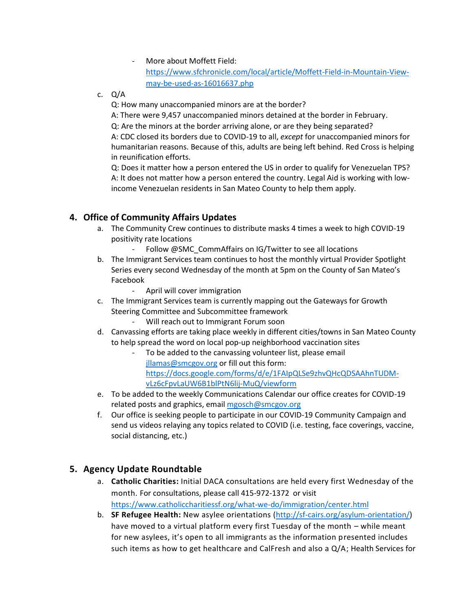#### More about Moffett Field:

[https://www.sfchronicle.com/local/article/Moffett-Field-in-Mountain-View](https://www.sfchronicle.com/local/article/Moffett-Field-in-Mountain-View-may-be-used-as-16016637.php)[may-be-used-as-16016637.php](https://www.sfchronicle.com/local/article/Moffett-Field-in-Mountain-View-may-be-used-as-16016637.php)

c. Q/A

Q: How many unaccompanied minors are at the border?

A: There were 9,457 unaccompanied minors detained at the border in February. Q: Are the minors at the border arriving alone, or are they being separated? A: CDC closed its borders due to COVID-19 to all, *except* for unaccompanied minors for humanitarian reasons. Because of this, adults are being left behind. Red Cross is helping in reunification efforts.

Q: Does it matter how a person entered the US in order to qualify for Venezuelan TPS? A: It does not matter how a person entered the country. Legal Aid is working with lowincome Venezuelan residents in San Mateo County to help them apply.

## **4. Office of Community Affairs Updates**

- a. The Community Crew continues to distribute masks 4 times a week to high COVID-19 positivity rate locations
	- Follow @SMC\_CommAffairs on IG/Twitter to see all locations
- b. The Immigrant Services team continues to host the monthly virtual Provider Spotlight Series every second Wednesday of the month at 5pm on the County of San Mateo's Facebook
	- April will cover immigration
- c. The Immigrant Services team is currently mapping out the Gateways for Growth Steering Committee and Subcommittee framework
	- Will reach out to Immigrant Forum soon
- d. Canvassing efforts are taking place weekly in different cities/towns in San Mateo County to help spread the word on local pop-up neighborhood vaccination sites
	- To be added to the canvassing volunteer list, please email [jllamas@smcgov.org](mailto:jllamas@smcgov.org) or fill out this form: [https://docs.google.com/forms/d/e/1FAIpQLSe9zhvQHcQDSAAhnTUDM](https://docs.google.com/forms/d/e/1FAIpQLSe9zhvQHcQDSAAhnTUDM-vLz6cFpvLaUW6B1blPtN6lij-MuQ/viewform)[vLz6cFpvLaUW6B1blPtN6lij-MuQ/viewform](https://docs.google.com/forms/d/e/1FAIpQLSe9zhvQHcQDSAAhnTUDM-vLz6cFpvLaUW6B1blPtN6lij-MuQ/viewform)
- e. To be added to the weekly Communications Calendar our office creates for COVID-19 related posts and graphics, email [mgosch@smcgov.org](mailto:mgosch@smcgov.org)
- f. Our office is seeking people to participate in our COVID-19 Community Campaign and send us videos relaying any topics related to COVID (i.e. testing, face coverings, vaccine, social distancing, etc.)

### **5. Agency Update Roundtable**

- a. **Catholic Charities:** Initial DACA consultations are held every first Wednesday of the month. For consultations, please call 415-972-1372 or visit <https://www.catholiccharitiessf.org/what-we-do/immigration/center.html>
- b. **SF Refugee Health:** New asylee orientations [\(http://sf-cairs.org/asylum-orientation/\)](http://sf-cairs.org/asylum-orientation/) have moved to a virtual platform every first Tuesday of the month – while meant for new asylees, it's open to all immigrants as the information presented includes such items as how to get healthcare and CalFresh and also a Q/A; Health Services for